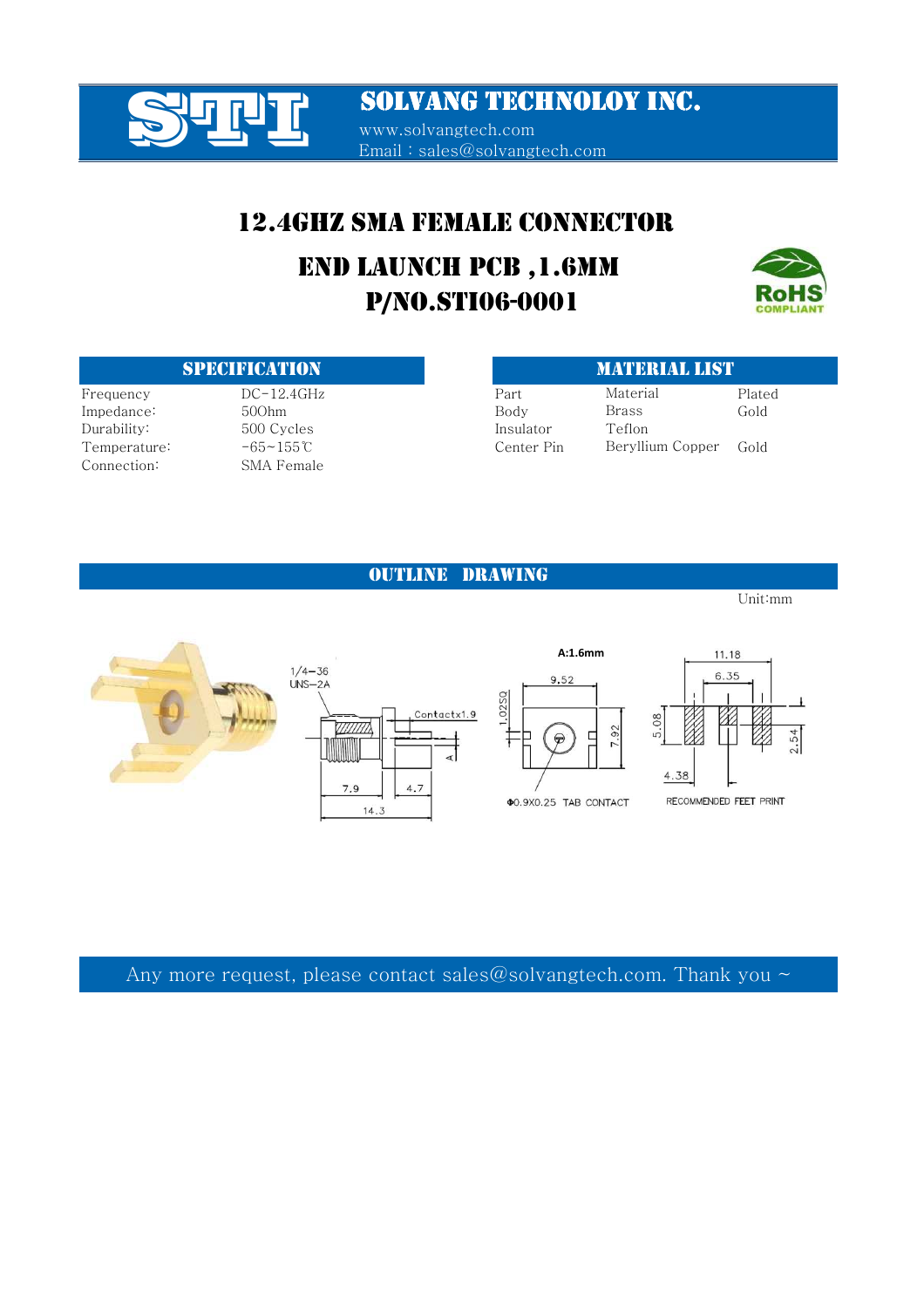

www.solvangtech.com Email : sales@solvangtech.com

### 12.4GHZ SMA FEMALE CONNECTOR

# P/NO.STI06-0001 END LAUNCH PCB ,1.6MM



#### SPECIFICATION MATERIAL LIST

 $P = DC-12.4GHz$  Pa Impedance: 500hm Body Gold Durability: 500 Cycles 500 Cycles Temperature:  $-65~155~°C$  Center Pin Golds Connection: SMA Female

| art       | Material         | Plated |
|-----------|------------------|--------|
| vbc       | Brass            | Gold   |
| sulator   | Teflon           |        |
| enter Pin | Beryllium Copper | Gold   |
|           |                  |        |

#### OUTLINE DRAWING

Unit:mm

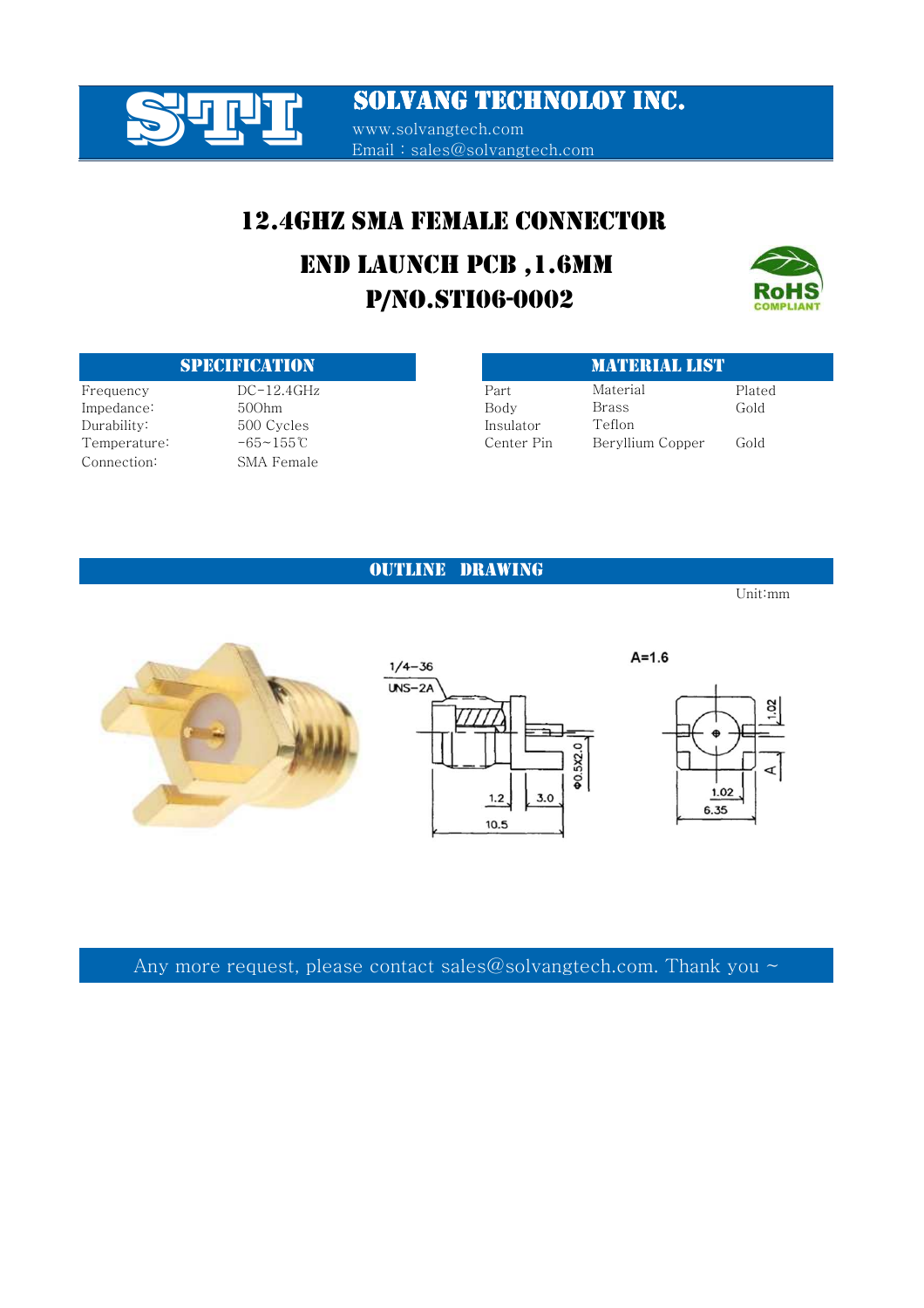

**SOLVANG TECHNOLOY INC.** www.solvangtech.com Email : sales@solvangtech.com

### 12.4GHZ SMA FEMALE CONNECTOR

# P/NO.STI06-0002 END LAUNCH PCB ,1.6MM



#### **SPECIFICATION**

 $Prequency$   $DC-12.4GHz$ Impedance: 500hm Durability: 500 Cycles Temperature: -65~155℃ Connection: SMA Female

| <b>MATERIAL LIST</b> |                  |        |  |
|----------------------|------------------|--------|--|
| Part                 | Material         | Plated |  |
| Body                 | Brass            | Gold   |  |
| Insulator            | Teflon           |        |  |
| Center Pin           | Beryllium Copper | Gold   |  |

#### OUTLINE DRAWING

Unit:mm

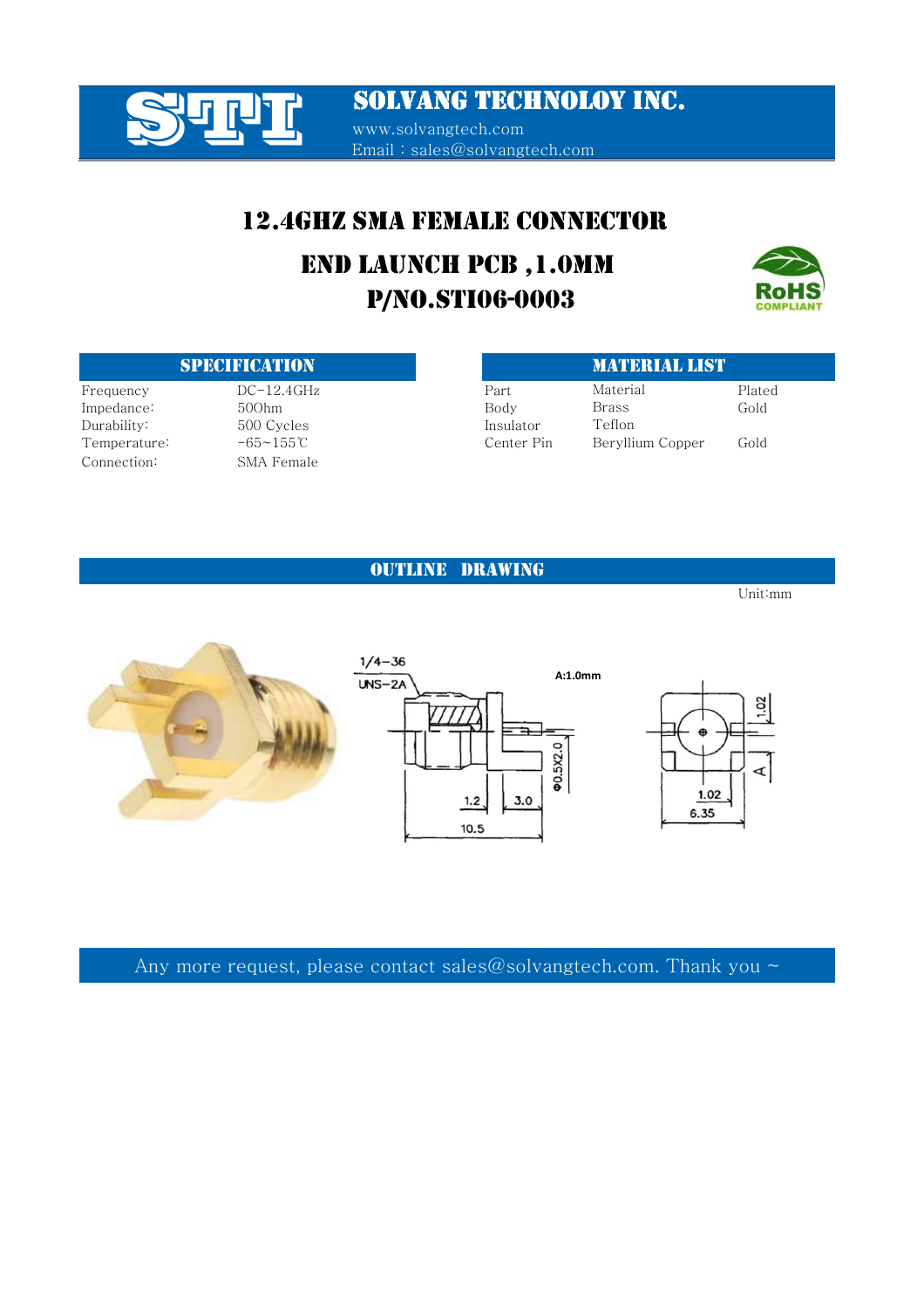

www.solvangtech.com Email : sales@solvangtech.com

### 12.4GHZ SMA FEMALE CONNECTOR

# P/NO.STI06-0003 END LAUNCH PCB ,1.0MM



#### **SPECIFICATION**

 $Prequency$   $DC-12.4GHz$ Impedance: 500hm Durability: 500 Cycles Temperature: -65~155℃ Connection: SMA Female

| <b>MATERIAL LIST</b> |        |
|----------------------|--------|
| Material             | Plated |
| Brass                | Gold   |
| Teflon               |        |
| Beryllium Copper     | Gold   |
|                      |        |

#### OUTLINE DRAWING

Unit:mm

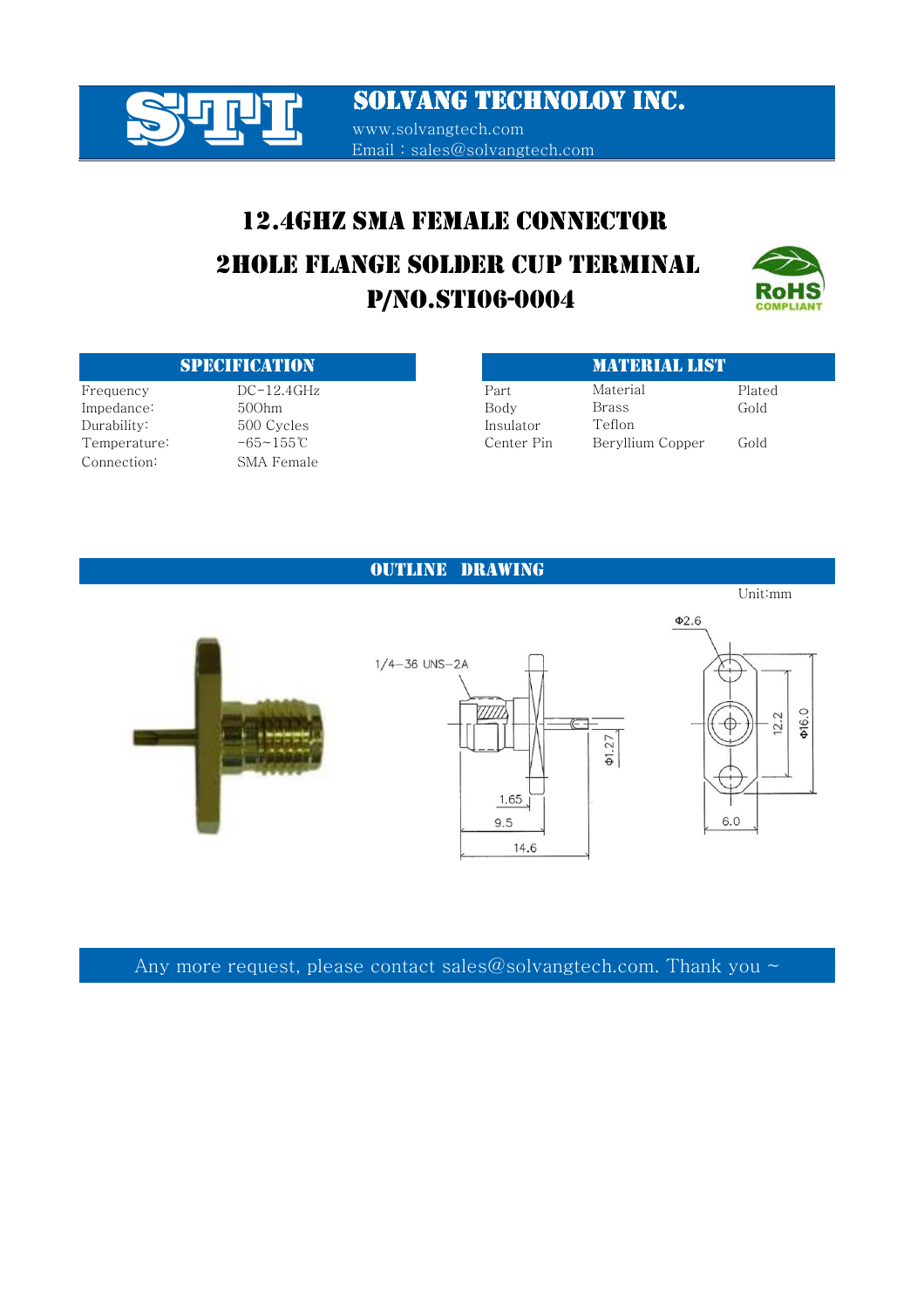

SOLVANG TECHNOLOY INC. www.solvangtech.com Email : sales@solvangtech.com

## 12.4GHZ SMA FEMALE CONNECTOR

 P/NO.STI06-0004 2HOLE FLANGE SOLDER CUP TERMINAL



#### **SPECIFICATION**

 $Prequency$   $DC-12.4GHz$ Impedance: 500hm Durability: 500 Cycles Temperature: -65~155℃ Connection: SMA Female

|            | <b>MATERIAL LIST</b> |        |
|------------|----------------------|--------|
| Part       | Material             | Plated |
| Body       | Brass                | Gold   |
| Insulator  | Teflon               |        |
| Center Pin | Beryllium Copper     | Gold   |

#### OUTLINE DRAWING

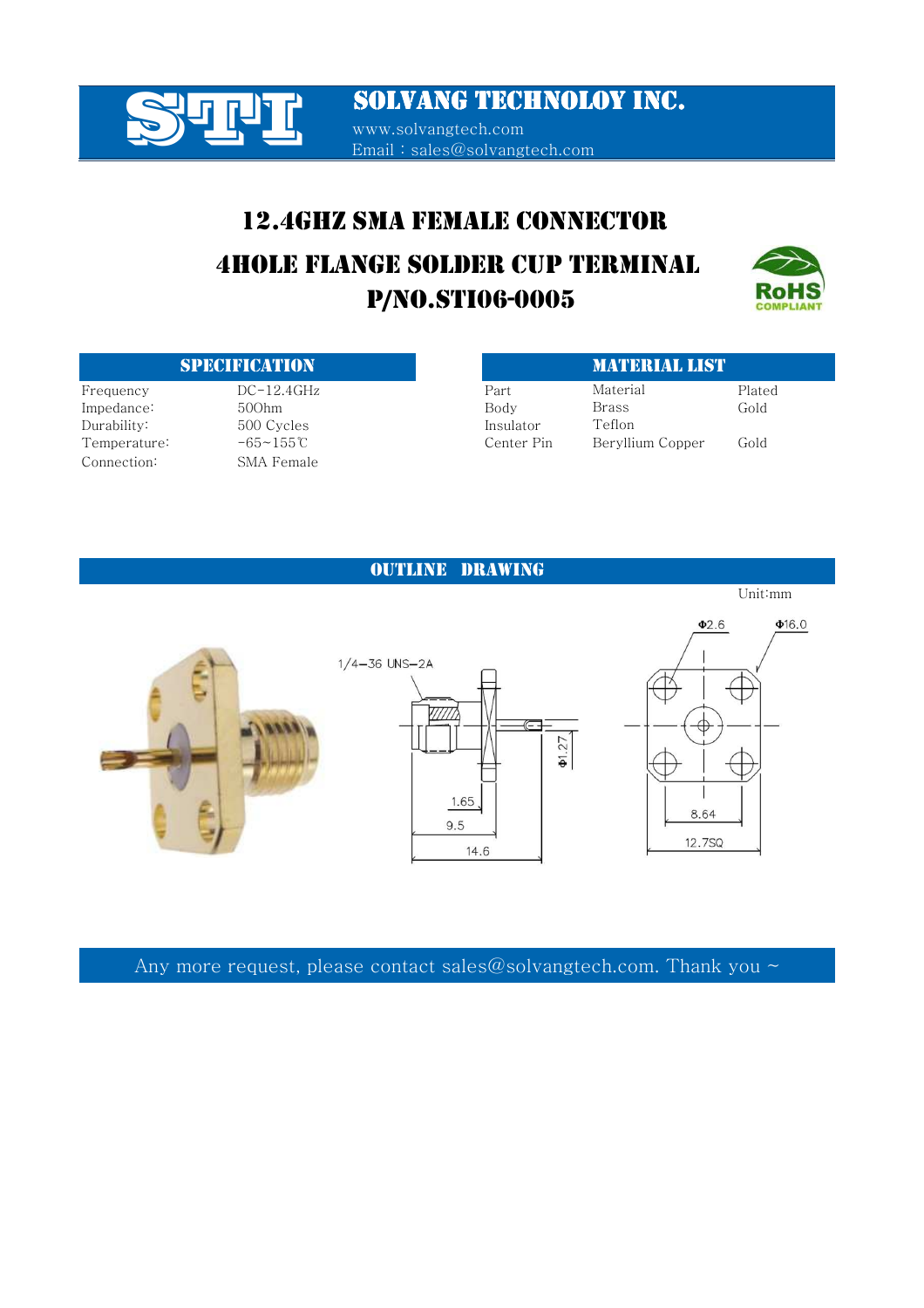

Email : sales@solvangtech.com

## 12.4GHZ SMA FEMALE CONNECTOR

## P/NO.STI06-0005 4HOLE FLANGE SOLDER CUP TERMINAL



Unit:mm

#### SPECIFICATION MATERIAL LIST

Durability: 500 Cycles 500 Purability: Connection: SMA Female

| $DC-12.4GHz$   | Part       | Material         | Plated |
|----------------|------------|------------------|--------|
| 500hm          | Body       | Brass            | Gold   |
| 500 Cycles     | Insulator  | Teflon           |        |
| $-65 - 155$ °C | Center Pin | Beryllium Copper | Gold   |
|                |            |                  |        |

#### OUTLINE DRAWING

 $\Phi$ 16.0  $Φ2.6$  $1/4 - 36$  UNS-2A  $\Phi$ 1.27 1.65 8.64 9.5 12.7SQ

14.6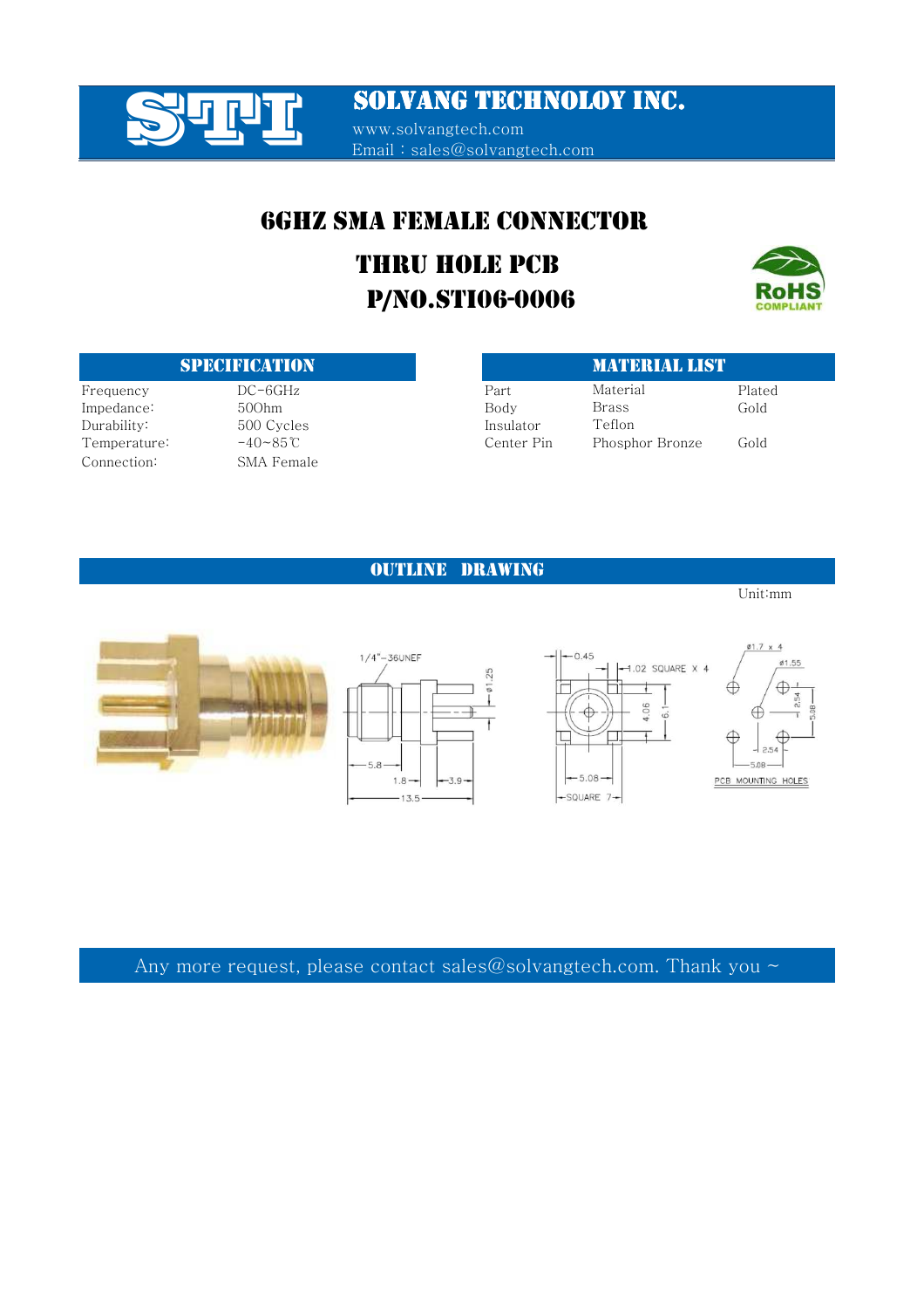

www.solvangtech.com Email : sales@solvangtech.com

### 6GHZ SMA FEMALE CONNECTOR

# P/NO.STI06-0006 THRU HOLE PCB



#### **SPECIFICATION**

Impedance: 500hm Durability: 500 Cycles Temperature:  $-40~85~^\circ$ Connection: SMA Female

| <b>SPECIFICATION</b> |                       |            | <b>MATERIAL LIST</b> |        |  |
|----------------------|-----------------------|------------|----------------------|--------|--|
| Frequency            | $DC-6GHz$             | Part       | Material             | Plated |  |
| Impedance:           | 500hm                 | Body       | Brass                | Gold   |  |
| Durabilitv: .        | 500 Cycles            | Insulator  | Teflon               |        |  |
| Temperature:         | $-40\sim85^{\circ}$ C | Center Pin | Phosphor Bronze      | Gold   |  |

#### OUTLINE DRAWING

Unit:mm





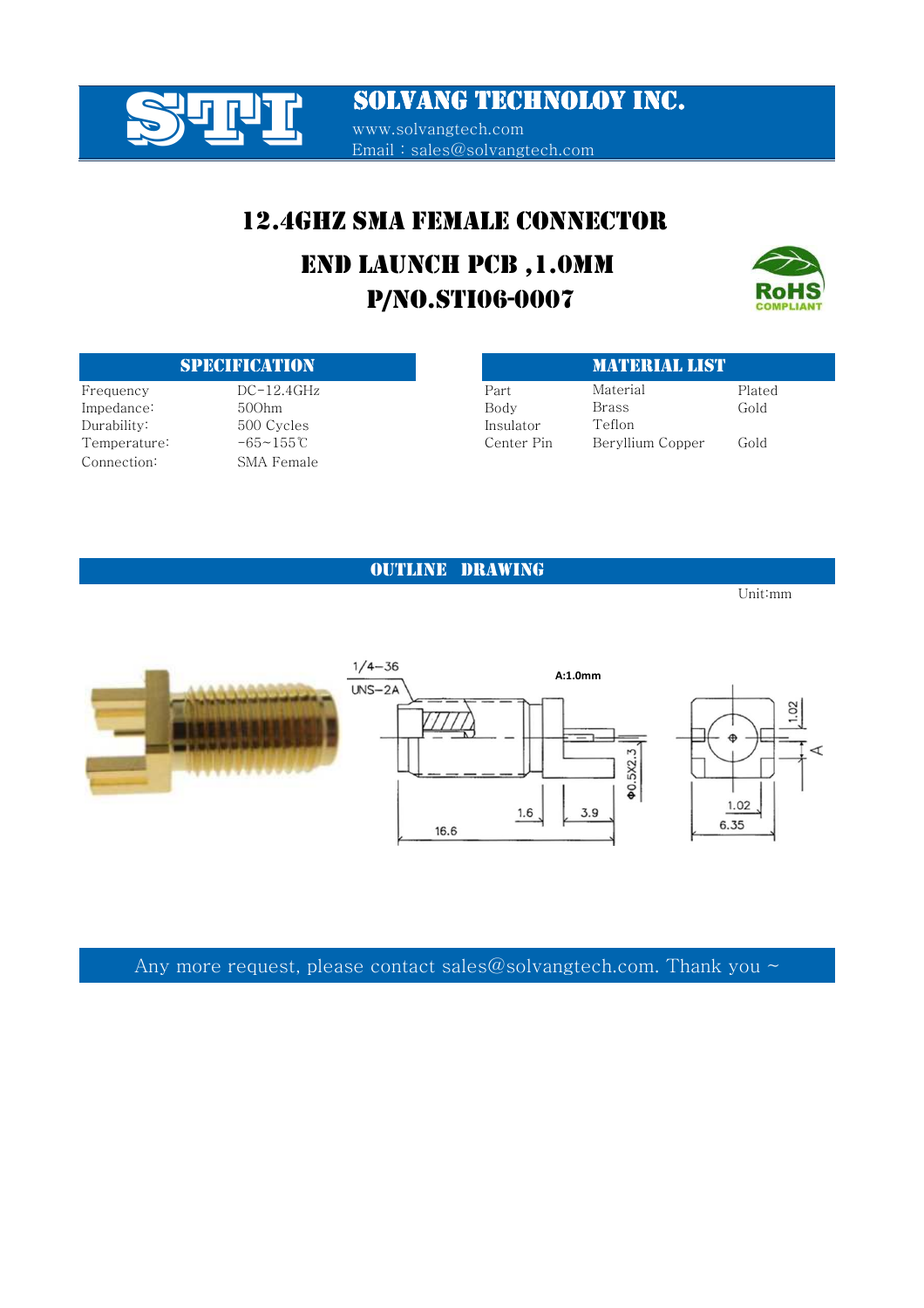

www.solvangtech.com Email : sales@solvangtech.com

### 12.4GHZ SMA FEMALE CONNECTOR

# P/NO.STI06-0007 END LAUNCH PCB ,1.0MM



#### SPECIFICATION MATERIAL LIST

Connection: SMA Female

Durability: 500 Cycles 500 Purability:

| N E AD I V LDI V LUNI |                   |            | ик <b>и</b> инкилими |        |
|-----------------------|-------------------|------------|----------------------|--------|
| Frequency             | $DC-12.4GHz$      | Part       | Material             | Plated |
| Impedance:            | 500hm             | Body       | Brass                | Gold   |
| Durability:           | 500 Cycles        | Insulator  | Teflon               |        |
| Temperature:          | $-65 \sim 155$ °C | Center Pin | Beryllium Copper     | Gold   |

#### OUTLINE DRAWING

Unit:mm